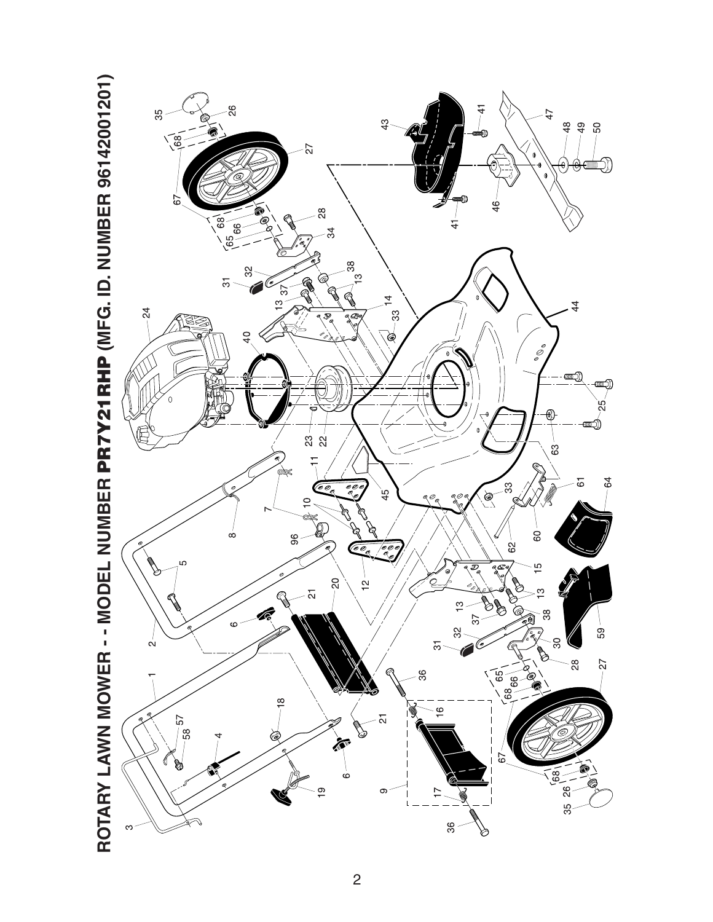

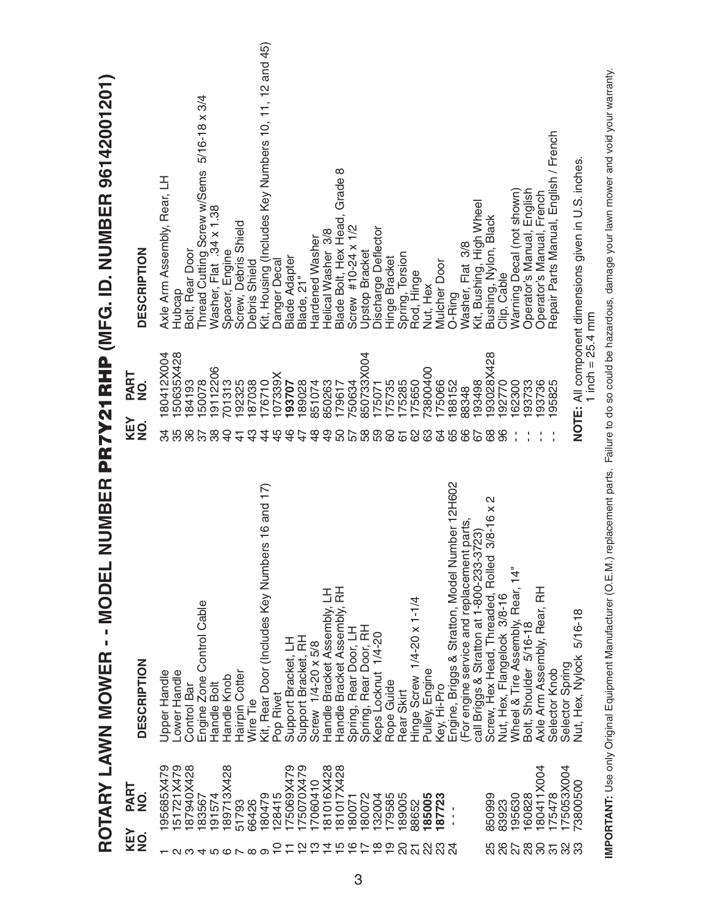|                                   |                        | NUMBER<br>ROTARY LAWN MOWER - - MODE              |                             |                        | PR7Y21RHP (MFG. ID. NUMBER 96142001201)               |
|-----------------------------------|------------------------|---------------------------------------------------|-----------------------------|------------------------|-------------------------------------------------------|
| KEY<br>$\frac{1}{2}$              | PART<br>NO.            | DESCRIPTION                                       | KEY<br>$\frac{1}{2}$        | PART<br>NO.            | <b>DESCRIPTION</b>                                    |
| $\overline{\phantom{a}}$ $\alpha$ | 95685X479<br>51721X479 | Upper Handle<br>Lower Handle                      | ಸ<br>35                     | 50635X428<br>80412X004 | Axle Arm Assembly, Rear, LH<br>Hubcap                 |
| ო                                 | 87940X428              | <b>Control Bar</b>                                | 36                          | 84193                  | Bolt, Rear Door                                       |
|                                   | 83567                  | Engine Zone Control Cable                         | 38                          | 50078                  | $5/16 - 18 \times 3/4$<br>Thread Cutting Screw w/Sems |
|                                   | 191574                 | Handle Bolt                                       |                             | 9112206                | Washer, Flat .34 x 1.38                               |
|                                   | 189713X428             | Handle Knob                                       | $\Theta$                    | 701313                 | Spacer, Engine                                        |
|                                   | 51793                  | Hairpin Cotter                                    | $\frac{4}{3}$               | 192325                 | Screw, Debris Shield                                  |
| 400100                            | 66426                  | Wire Tie                                          | $\frac{3}{4}$               | 87038                  | Debris Shield                                         |
|                                   | 180479                 | Kit, Rear Door (Includes Key Numbers 16 and 17)   | 4                           | 76710                  | Kit, Housing (Includes Key Numbers 10, 11, 12 and 45) |
|                                   | 128415                 | Pop Rivet                                         | 45                          | 07339X<br>193707       | Danger Decal                                          |
|                                   | 75070X479<br>75069X479 | Support Bracket, RH<br>Support Bracket, LH        | $\frac{6}{5}$<br>$\ddot{4}$ | 89028                  | <b>Blade Adapter</b><br>Blade, 21"                    |
|                                   | 7060410                | Screw 1/4-20 x 5/8                                | $\frac{8}{4}$               | 851074                 | Hardened Washer                                       |
|                                   | 81016X428              | Handle Bracket Assembly, LH                       | $\frac{9}{4}$               | 850263                 | Helical Washer 3/8                                    |
| u w 4 m                           | 81017X428              | Handle Bracket Assembly, RH                       | 50                          | 179617                 | Blade Bolt, Hex Head, Grade 8                         |
| ဖ                                 | 80071                  | Spring, Rear Door, LH                             |                             | 50634                  | Screw #10-24 x 1/2                                    |
| $\sim \infty$                     | 80072                  | Spring, Rear Door, RH                             | 588                         | 850733X004             | Upstop Bracket                                        |
|                                   | 32004                  | Keps Locknut 1/4-20                               |                             | 175071                 | Discharge Deflector                                   |
| ၜ                                 | 179585                 | Rope Guide                                        | 60                          | 175735                 | Hinge Bracket                                         |
| $\overline{\mathcal{S}}$          | 189005                 | Rear Skirt                                        | $\overline{6}$              | 75285                  | Spring, Torsion                                       |
| $\overline{\Omega}$               | 88652                  | Hinge Screw 1/4-20 x 1-1/4                        | 62                          | 175650                 | Rod, Hinge                                            |
| 22                                | 185005                 | Pulley, Engine                                    | 63                          | 3800400                | Nut, Hex                                              |
| ಔ                                 | 87723                  | Key, Hi-Pro                                       | 3                           | 75066                  | <b>Mulcher Door</b>                                   |
|                                   |                        | Number 12H602<br>Engine, Briggs & Stratton, Model | 65<br>66                    | 88152                  | O-Ring                                                |
|                                   |                        | (For engine service and replacement parts,        |                             | 88348                  | Washer, Flat 3/8                                      |
|                                   |                        | call Briggs & Stratton at 1-800-233-3723)         | 67                          | 93498                  | Kit, Bushing, High Wheel                              |
|                                   | 850999                 | 2<br>Screw, Hex Head, Threaded, Rolled 3/8-16 x   | 89                          | 93028X428              | Bushing, Nylon, Black                                 |
| 8<br>26                           | 83923                  | Nut, Hex, Flangelock 3/8-16                       | 96                          | 92770                  | Clip, Cable                                           |
|                                   | 195630                 | Wheel & Tire Assembly, Rear, 14"                  |                             | 62300                  | Warning Decal (not shown)                             |
| 28                                | 160828                 | Bolt, Shoulder 5/16-18                            |                             | 93733                  | Operator's Manual, English                            |
|                                   | 80411X004              | Axle Arm Assembly, Rear, RH                       |                             | 93736                  | Operator's Manual, French                             |
| 252                               | 175478                 | Selector Knob                                     |                             | 95825                  | Repair Parts Manual, English / French                 |
|                                   | 175053X004             | Selector Spring                                   |                             |                        |                                                       |
| က္က                               | 3800500                | $5/16 - 18$<br>Nut, Hex, Nylock                   |                             | 1 inch = $25.4$ mm     | NOTE: All component dimensions given in U.S. inches.  |
|                                   |                        |                                                   |                             |                        |                                                       |

IMPORTANT: Use only Original Equipment Manufacturer (O.E.M.) replacement parts. Failure to do so could be hazardous, damage your lawn mower and void your warranty. **IMPORTANT:** Use only Original Equipment Manufacturer (O.E.M.) replacement parts. Failure to do so could be hazardous, damage your lawn mower and void your warranty.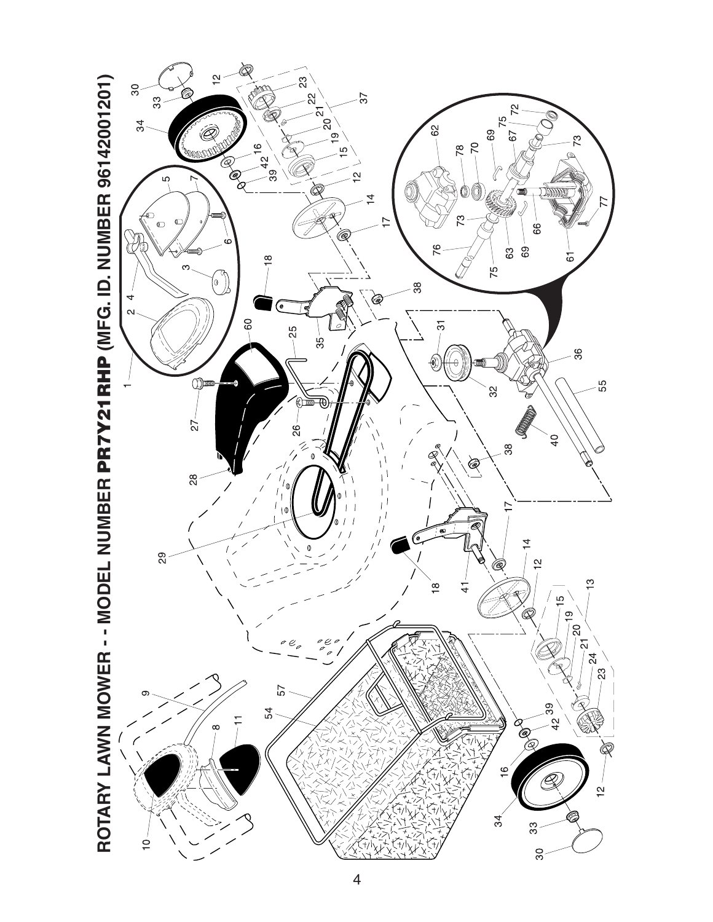